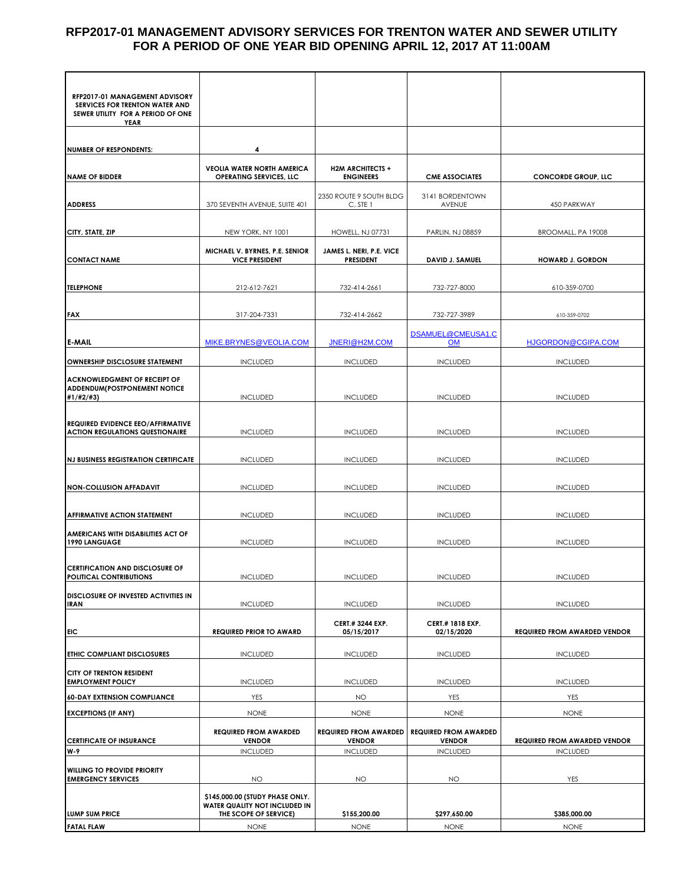### **RFP2017-01 MANAGEMENT ADVISORY SERVICES FOR TRENTON WATER AND SEWER UTILITY FOR A PERIOD OF ONE YEAR BID OPENING APRIL 12, 2017 AT 11:00AM**

| RFP2017-01 MANAGEMENT ADVISORY<br>SERVICES FOR TRENTON WATER AND<br>SEWER UTILITY FOR A PERIOD OF ONE<br>YEAR |                                                                     |                                                                  |                                                                  |                                                        |
|---------------------------------------------------------------------------------------------------------------|---------------------------------------------------------------------|------------------------------------------------------------------|------------------------------------------------------------------|--------------------------------------------------------|
|                                                                                                               |                                                                     |                                                                  |                                                                  |                                                        |
|                                                                                                               |                                                                     |                                                                  |                                                                  |                                                        |
| <b>NUMBER OF RESPONDENTS:</b>                                                                                 | 4                                                                   |                                                                  |                                                                  |                                                        |
| <b>NAME OF BIDDER</b>                                                                                         | <b>VEOLIA WATER NORTH AMERICA</b><br><b>OPERATING SERVICES, LLC</b> | <b>H2M ARCHITECTS +</b><br><b>ENGINEERS</b>                      | <b>CME ASSOCIATES</b>                                            | <b>CONCORDE GROUP, LLC</b>                             |
|                                                                                                               |                                                                     | 2350 ROUTE 9 SOUTH BLDG                                          | 3141 BORDENTOWN                                                  |                                                        |
| <b>ADDRESS</b>                                                                                                | 370 SEVENTH AVENUE, SUITE 401                                       | C, STE 1                                                         | AVENUE                                                           | 450 PARKWAY                                            |
| CITY, STATE, ZIP                                                                                              | NEW YORK, NY 1001                                                   | <b>HOWELL, NJ 07731</b>                                          | PARLIN, NJ 08859                                                 | BROOMALL, PA 19008                                     |
| <b>CONTACT NAME</b>                                                                                           | MICHAEL V. BYRNES, P.E. SENIOR<br><b>VICE PRESIDENT</b>             | JAMES L. NERI, P.E. VICE<br><b>PRESIDENT</b>                     | DAVID J. SAMUEL                                                  | <b>HOWARD J. GORDON</b>                                |
| <b>TELEPHONE</b>                                                                                              | 212-612-7621                                                        | 732-414-2661                                                     | 732-727-8000                                                     | 610-359-0700                                           |
| <b>FAX</b>                                                                                                    | 317-204-7331                                                        | 732-414-2662                                                     | 732-727-3989                                                     | 610-359-0702                                           |
|                                                                                                               |                                                                     |                                                                  |                                                                  |                                                        |
| E-MAIL                                                                                                        | MIKE.BRYNES@VEOLIA.COM                                              | JNERI@H2M.COM                                                    | DSAMUEL@CMEUSA1.C<br><b>OM</b>                                   | HJGORDON@CGIPA.COM                                     |
| OWNERSHIP DISCLOSURE STATEMENT                                                                                | <b>INCLUDED</b>                                                     | <b>INCLUDED</b>                                                  | <b>INCLUDED</b>                                                  | <b>INCLUDED</b>                                        |
| <b>ACKNOWLEDGMENT OF RECEIPT OF</b><br><b>ADDENDUM(POSTPONEMENT NOTICE</b><br>#1/#2/#3)                       | <b>INCLUDED</b>                                                     | <b>INCLUDED</b>                                                  | <b>INCLUDED</b>                                                  | <b>INCLUDED</b>                                        |
|                                                                                                               |                                                                     |                                                                  |                                                                  |                                                        |
| <b>REQUIRED EVIDENCE EEO/AFFIRMATIVE</b><br><b>ACTION REGULATIONS QUESTIONAIRE</b>                            | <b>INCLUDED</b>                                                     | <b>INCLUDED</b>                                                  | <b>INCLUDED</b>                                                  | <b>INCLUDED</b>                                        |
| <b>NJ BUSINESS REGISTRATION CERTIFICATE</b>                                                                   | <b>INCLUDED</b>                                                     | <b>INCLUDED</b>                                                  | <b>INCLUDED</b>                                                  | <b>INCLUDED</b>                                        |
| <b>NON-COLLUSION AFFADAVIT</b>                                                                                | <b>INCLUDED</b>                                                     | <b>INCLUDED</b>                                                  | <b>INCLUDED</b>                                                  | <b>INCLUDED</b>                                        |
| <b>AFFIRMATIVE ACTION STATEMENT</b>                                                                           | <b>INCLUDED</b>                                                     | <b>INCLUDED</b>                                                  | <b>INCLUDED</b>                                                  | <b>INCLUDED</b>                                        |
| AMERICANS WITH DISABILITIES ACT OF<br>1990 LANGUAGE                                                           | <b>INCLUDED</b>                                                     | <b>INCLUDED</b>                                                  | <b>INCLUDED</b>                                                  | <b>INCLUDED</b>                                        |
| <b>CERTIFICATION AND DISCLOSURE OF</b><br>POLITICAL CONTRIBUTIONS                                             | <b>INCLUDED</b>                                                     | <b>INCLUDED</b>                                                  | <b>INCLUDED</b>                                                  | <b>INCLUDED</b>                                        |
| DISCLOSURE OF INVESTED ACTIVITIES IN<br><b>IRAN</b>                                                           | <b>INCLUDED</b>                                                     | <b>INCLUDED</b>                                                  | <b>INCLUDED</b>                                                  | <b>INCLUDED</b>                                        |
| EIC                                                                                                           | <b>REQUIRED PRIOR TO AWARD</b>                                      | <b>CERT.# 3244 EXP.</b><br>05/15/2017                            | <b>CERT.# 1818 EXP.</b><br>02/15/2020                            | <b>REQUIRED FROM AWARDED VENDOR</b>                    |
| ETHIC COMPLIANT DISCLOSURES                                                                                   | <b>INCLUDED</b>                                                     | <b>INCLUDED</b>                                                  | <b>INCLUDED</b>                                                  | <b>INCLUDED</b>                                        |
| <b>CITY OF TRENTON RESIDENT</b><br><b>EMPLOYMENT POLICY</b>                                                   | <b>INCLUDED</b>                                                     | <b>INCLUDED</b>                                                  | <b>INCLUDED</b>                                                  | <b>INCLUDED</b>                                        |
| <b>60-DAY EXTENSION COMPLIANCE</b>                                                                            | YES                                                                 | <b>NO</b>                                                        | YES                                                              | YES                                                    |
|                                                                                                               |                                                                     |                                                                  |                                                                  |                                                        |
| <b>EXCEPTIONS (IF ANY)</b>                                                                                    | <b>NONE</b>                                                         | <b>NONE</b>                                                      | <b>NONE</b>                                                      | <b>NONE</b>                                            |
| <b>CERTIFICATE OF INSURANCE</b><br>W-9                                                                        | <b>REQUIRED FROM AWARDED</b><br><b>VENDOR</b><br><b>INCLUDED</b>    | <b>REQUIRED FROM AWARDED</b><br><b>VENDOR</b><br><b>INCLUDED</b> | <b>REQUIRED FROM AWARDED</b><br><b>VENDOR</b><br><b>INCLUDED</b> | <b>REQUIRED FROM AWARDED VENDOR</b><br><b>INCLUDED</b> |
|                                                                                                               |                                                                     |                                                                  |                                                                  |                                                        |
| <b>WILLING TO PROVIDE PRIORITY</b><br><b>EMERGENCY SERVICES</b>                                               | <b>NO</b>                                                           | <b>NO</b>                                                        | <b>NO</b>                                                        | YES                                                    |
|                                                                                                               | \$145,000.00 (STUDY PHASE ONLY.<br>WATER QUALITY NOT INCLUDED IN    |                                                                  |                                                                  |                                                        |
| <b>LUMP SUM PRICE</b>                                                                                         | THE SCOPE OF SERVICE)                                               | \$155,200.00                                                     | \$297,650.00                                                     | \$385,000.00                                           |
| <b>FATAL FLAW</b>                                                                                             | <b>NONE</b>                                                         | <b>NONE</b>                                                      | <b>NONE</b>                                                      | <b>NONE</b>                                            |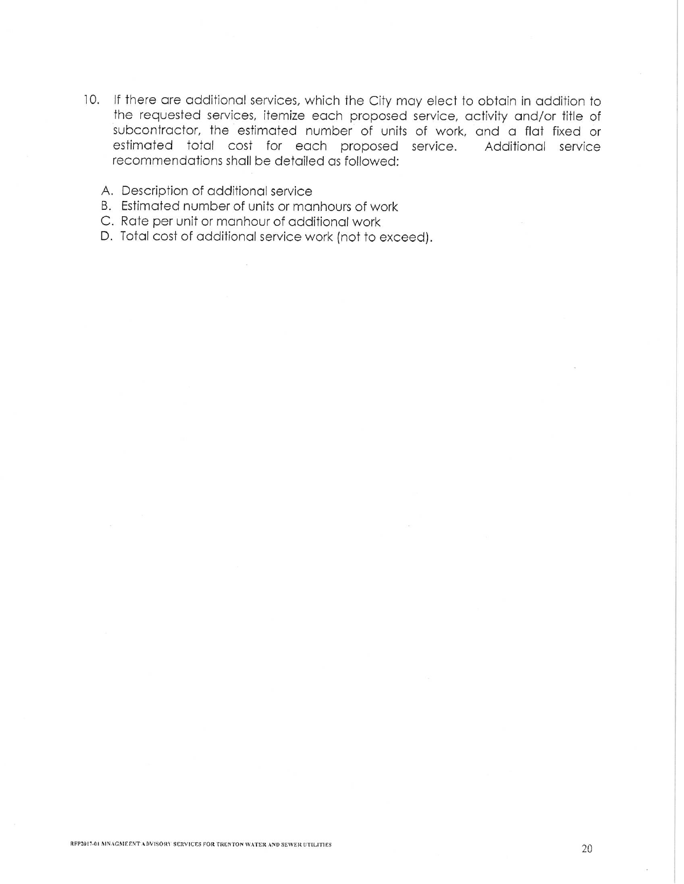- 10. If there are additional services, which the City may elect to obtain in addition to the requested services, itemize each proposed service, activity and/or title of subcontractor, the estimated number of units of work, and a flat fixed or estimated total cost for each proposed service. Additional service recommendations shall be detailed as followed:
	- A. Description of additional service
	- B. Estimated number of units or manhours of work
	- C. Rate per unit or manhour of additional work
	- D. Total cost of additional service work (not to exceed).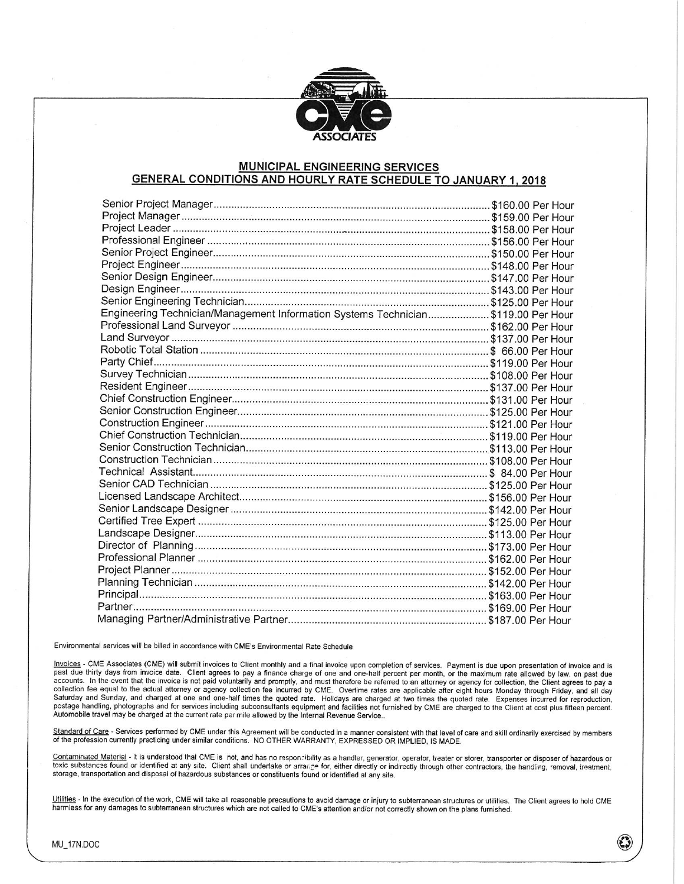

#### **MUNICIPAL ENGINEERING SERVICES GENERAL CONDITIONS AND HOURLY RATE SCHEDULE TO JANUARY 1, 2018**

| Engineering Technician/Management Information Systems Technician\$119.00 Per Hour |  |
|-----------------------------------------------------------------------------------|--|
|                                                                                   |  |
|                                                                                   |  |
|                                                                                   |  |
|                                                                                   |  |
|                                                                                   |  |
|                                                                                   |  |
|                                                                                   |  |
|                                                                                   |  |
|                                                                                   |  |
|                                                                                   |  |
|                                                                                   |  |
|                                                                                   |  |
|                                                                                   |  |
|                                                                                   |  |
|                                                                                   |  |
|                                                                                   |  |
|                                                                                   |  |
|                                                                                   |  |
|                                                                                   |  |
|                                                                                   |  |
|                                                                                   |  |
|                                                                                   |  |
|                                                                                   |  |
|                                                                                   |  |
|                                                                                   |  |

Environmental services will be billed in accordance with CME's Environmental Rate Schedule

Invoices - CME Associates (CME) will submit invoices to Client monthly and a final invoice upon completion of services. Payment is due upon presentation of invoice and is past due thirty days from invoice date. Client agre collection fee equal to the actual attorney or agency collection fee incurred by CME. Overtime rates are applicable after eight hours Monday through Friday, and all day Saturday and Sunday, and charged at one and one-half times the quoted rate. Holidays are charged at two times the quoted rate. Expenses incurred for reproduction, postage handling, photographs and for services including subconsultants equipment and facilities not furnished by CME are charged to the Client at cost plus fifteen percent. Automobile travel may be charged at the current rate per mile allowed by the Internal Revenue Service..

Standard of Care - Services performed by CME under this Agreement will be conducted in a manner consistent with that level of care and skill ordinarily exercised by members of the profession currently practicing under similar conditions. NO OTHER WARRANTY, EXPRESSED OR IMPLIED, IS MADE.

Contaminated Material - It is understood that CME is not, and has no responsibility as a handler, generator, operator, treater or storer, transporter or disposer of hazardous or toxic substances found or identified at any site. Client shall undertake or arrange for, either directly or indirectly through other contractors, the handling, removal, treatment, storage, transportation and disposal of hazardous substances or constituents found or identified at any site.

Utilities - In the execution of the work, CME will take all reasonable precautions to avoid damage or injury to subterranean structures or utilities. The Client agrees to hold CME harmless for any damages to subterranean structures which are not called to CME's attention and/or not correctly shown on the plans furnished.